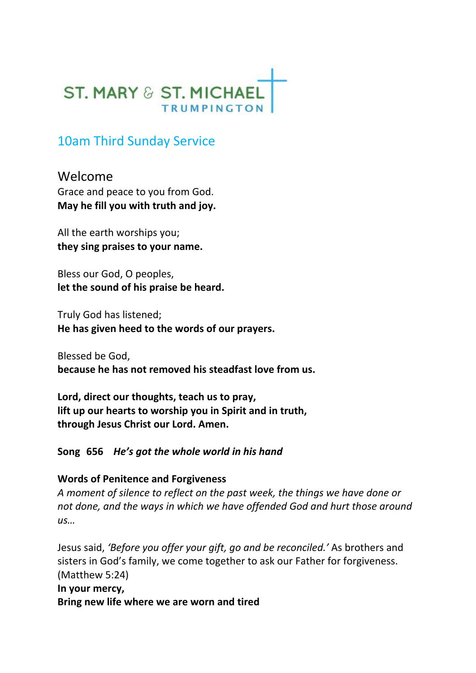

# 10am Third Sunday Service

Welcome Grace and peace to you from God. **May he fill you with truth and joy.**

All the earth worships you; **they sing praises to your name.**

Bless our God, O peoples, **let the sound of his praise be heard.**

Truly God has listened; **He has given heed to the words of our prayers.** 

Blessed be God, **because he has not removed his steadfast love from us.** 

**Lord, direct our thoughts, teach us to pray, lift up our hearts to worship you in Spirit and in truth, through Jesus Christ our Lord. Amen.**

**Song 656** *He's got the whole world in his hand*

#### **Words of Penitence and Forgiveness**

*A moment of silence to reflect on the past week, the things we have done or not done, and the ways in which we have offended God and hurt those around us…*

Jesus said, *'Before you offer your gift, go and be reconciled.'* As brothers and sisters in God's family, we come together to ask our Father for forgiveness. (Matthew 5:24)

**In your mercy, Bring new life where we are worn and tired**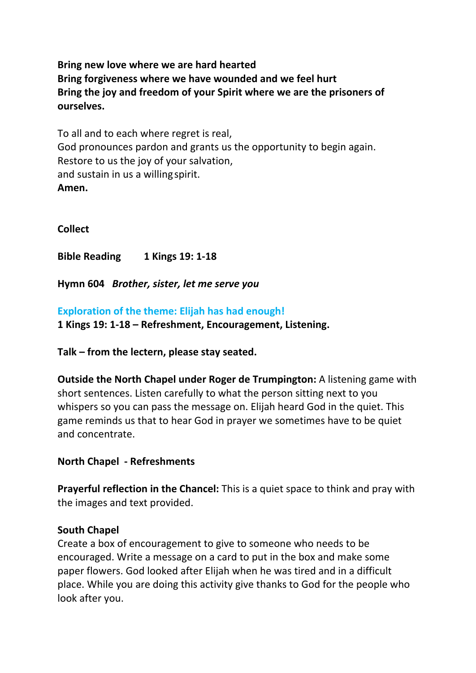**Bring new love where we are hard hearted Bring forgiveness where we have wounded and we feel hurt Bring the joy and freedom of your Spirit where we are the prisoners of ourselves.** 

To all and to each where regret is real, God pronounces pardon and grants us the opportunity to begin again. Restore to us the joy of your salvation, and sustain in us a willing spirit. **Amen.** 

**Collect**

**Bible Reading 1 Kings 19: 1-18**

**Hymn 604** *Brother, sister, let me serve you*

**Exploration of the theme: Elijah has had enough! 1 Kings 19: 1-18 – Refreshment, Encouragement, Listening.**

**Talk – from the lectern, please stay seated.**

**Outside the North Chapel under Roger de Trumpington:** A listening game with short sentences. Listen carefully to what the person sitting next to you whispers so you can pass the message on. Elijah heard God in the quiet. This game reminds us that to hear God in prayer we sometimes have to be quiet and concentrate.

#### **North Chapel - Refreshments**

**Prayerful reflection in the Chancel:** This is a quiet space to think and pray with the images and text provided.

#### **South Chapel**

Create a box of encouragement to give to someone who needs to be encouraged. Write a message on a card to put in the box and make some paper flowers. God looked after Elijah when he was tired and in a difficult place. While you are doing this activity give thanks to God for the people who look after you.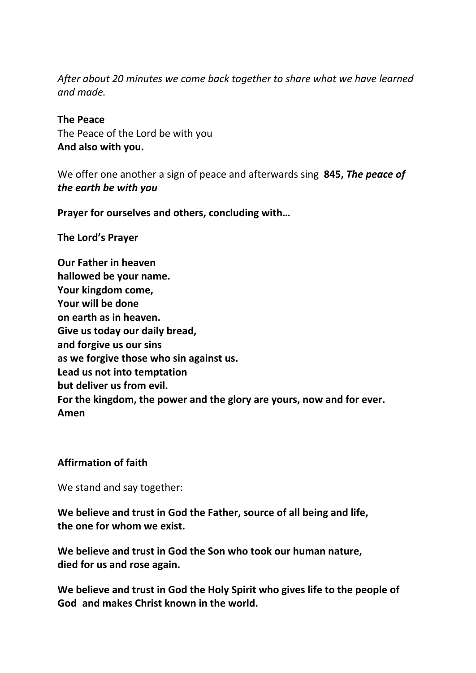*After about 20 minutes we come back together to share what we have learned and made.* 

## **The Peace**

The Peace of the Lord be with you **And also with you.** 

We offer one another a sign of peace and afterwards sing **845,** *The peace of the earth be with you*

**Prayer for ourselves and others, concluding with…**

**The Lord's Prayer** 

**Our Father in heaven hallowed be your name. Your kingdom come, Your will be done on earth as in heaven. Give us today our daily bread, and forgive us our sins as we forgive those who sin against us. Lead us not into temptation but deliver us from evil. For the kingdom, the power and the glory are yours, now and for ever. Amen** 

## **Affirmation of faith**

We stand and say together:

**We believe and trust in God the Father, source of all being and life, the one for whom we exist.** 

**We believe and trust in God the Son who took our human nature, died for us and rose again.** 

**We believe and trust in God the Holy Spirit who gives life to the people of God and makes Christ known in the world.**